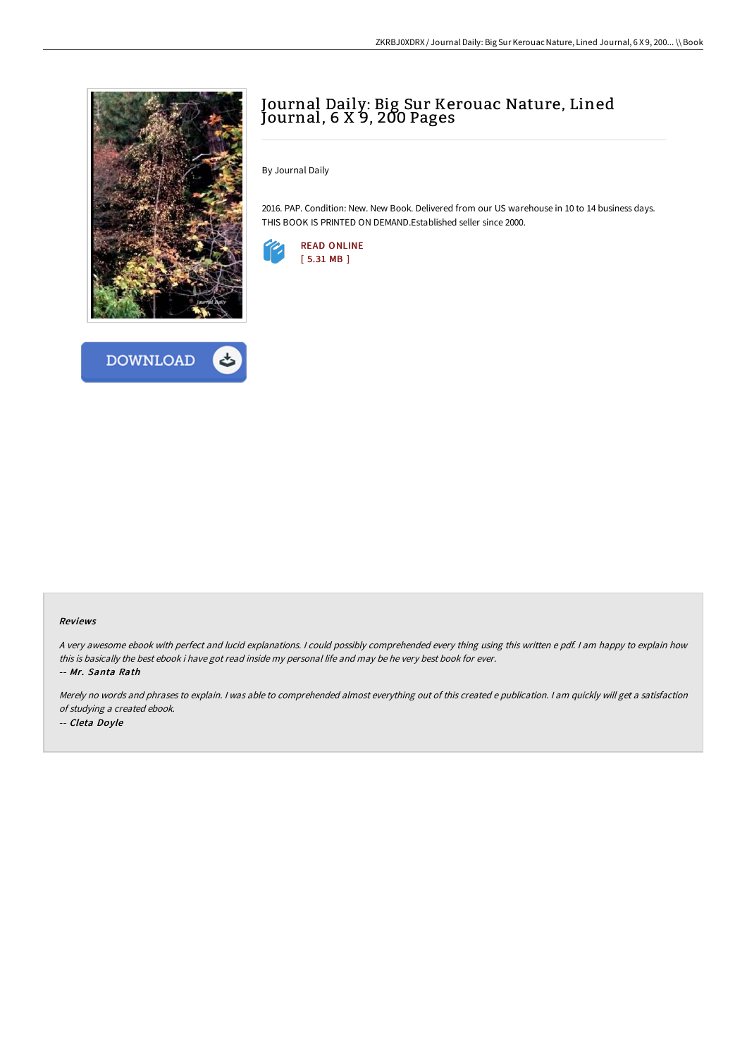



## Journal Daily: Big Sur Kerouac Nature, Lined Journal, 6 X 9, 200 Pages

By Journal Daily

2016. PAP. Condition: New. New Book. Delivered from our US warehouse in 10 to 14 business days. THIS BOOK IS PRINTED ON DEMAND.Established seller since 2000.



## Reviews

<sup>A</sup> very awesome ebook with perfect and lucid explanations. <sup>I</sup> could possibly comprehended every thing using this written <sup>e</sup> pdf. <sup>I</sup> am happy to explain how this is basically the best ebook i have got read inside my personal life and may be he very best book for ever.

-- Mr. Santa Rath

Merely no words and phrases to explain. <sup>I</sup> was able to comprehended almost everything out of this created <sup>e</sup> publication. <sup>I</sup> am quickly will get <sup>a</sup> satisfaction of studying <sup>a</sup> created ebook. -- Cleta Doyle